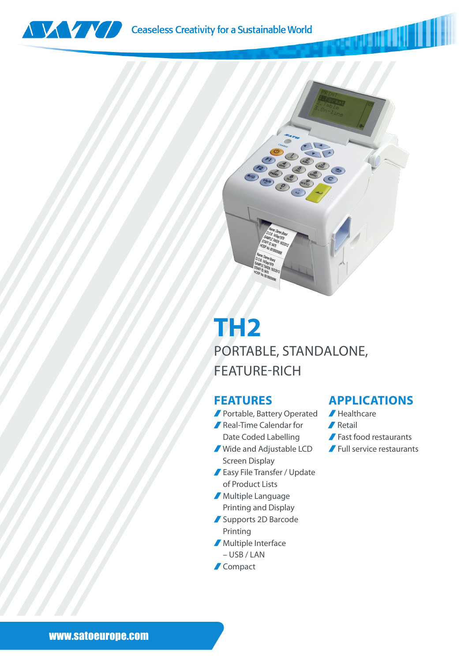



## **TH2** PORTABLE, STANDALONE, FEATURE-RICH

## **FEATURES**

- Portable, Battery Operated Flealthcare
- Real-Time Calendar for
- Date Coded Labelling
- Wide and Adjustable LCD Screen Display
- Easy File Transfer / Update of Product Lists
- Multiple Language Printing and Display
- Supports 2D Barcode Printing
- **Multiple Interface** 
	- USB / LAN
- **Compact**

## **APPLICATIONS**

MANI I III

- 
- $\sqrt{\phantom{a}}$  Retail
- Fast food restaurants
- Full service restaurants